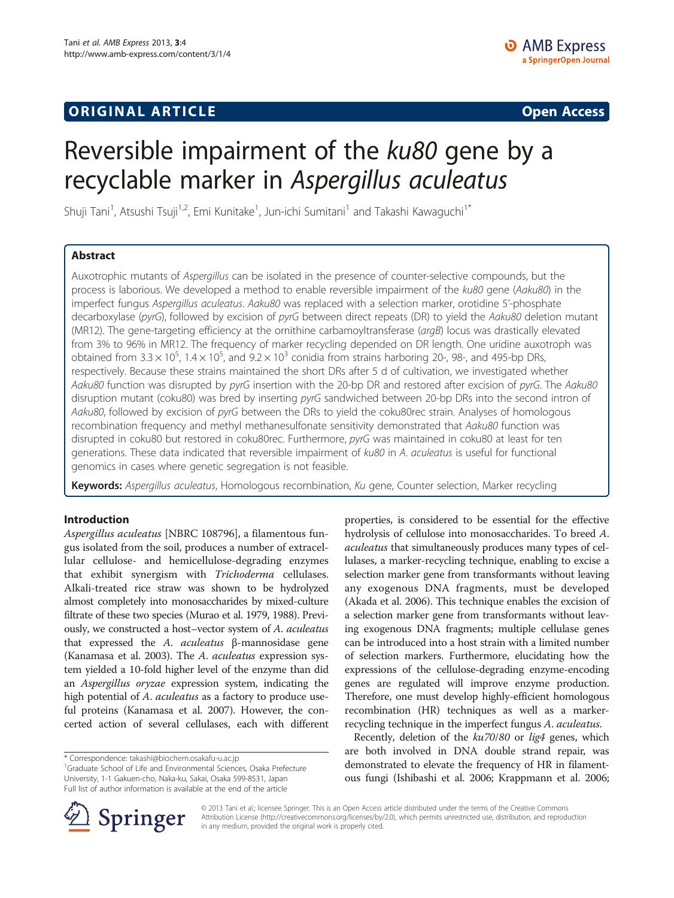# **ORIGINAL ARTICLE CONSERVANCE IN A LOCAL CONSERVANCE IN A LOCAL CONSERVANCE IN A LOCAL CONSERVANCE IN A LOCAL CONSERVANCE IN A LOCAL CONSERVANCE IN A LOCAL CONSERVANCE IN A LOCAL CONSERVANCE IN A LOCAL CONSERVANCE IN A L**

# Reversible impairment of the ku80 gene by a recyclable marker in Aspergillus aculeatus

Shuji Tani<sup>1</sup>, Atsushi Tsuji<sup>1,2</sup>, Emi Kunitake<sup>1</sup>, Jun-ichi Sumitani<sup>1</sup> and Takashi Kawaguchi<sup>1\*</sup>

# Abstract

Auxotrophic mutants of Aspergillus can be isolated in the presence of counter-selective compounds, but the process is laborious. We developed a method to enable reversible impairment of the ku80 gene (Aaku80) in the imperfect fungus Aspergillus aculeatus. Aaku80 was replaced with a selection marker, orotidine 5'-phosphate decarboxylase (pyrG), followed by excision of pyrG between direct repeats (DR) to yield the Aaku80 deletion mutant (MR12). The gene-targeting efficiency at the ornithine carbamoyltransferase (argB) locus was drastically elevated from 3% to 96% in MR12. The frequency of marker recycling depended on DR length. One uridine auxotroph was obtained from 3.3  $\times$  10<sup>5</sup>, 1.4  $\times$  10<sup>5</sup>, and 9.2  $\times$  10<sup>3</sup> conidia from strains harboring 20-, 98-, and 495-bp DRs, respectively. Because these strains maintained the short DRs after 5 d of cultivation, we investigated whether Aaku80 function was disrupted by pyrG insertion with the 20-bp DR and restored after excision of pyrG. The Aaku80 disruption mutant (coku80) was bred by inserting pyrG sandwiched between 20-bp DRs into the second intron of Aaku80, followed by excision of pyrG between the DRs to yield the coku80rec strain. Analyses of homologous recombination frequency and methyl methanesulfonate sensitivity demonstrated that Aaku80 function was disrupted in coku80 but restored in coku80rec. Furthermore, pyrG was maintained in coku80 at least for ten generations. These data indicated that reversible impairment of ku80 in A. aculeatus is useful for functional genomics in cases where genetic segregation is not feasible.

Keywords: Aspergillus aculeatus, Homologous recombination, Ku gene, Counter selection, Marker recycling

# Introduction

Aspergillus aculeatus [NBRC 108796], a filamentous fungus isolated from the soil, produces a number of extracellular cellulose- and hemicellulose-degrading enzymes that exhibit synergism with Trichoderma cellulases. Alkali-treated rice straw was shown to be hydrolyzed almost completely into monosaccharides by mixed-culture filtrate of these two species (Murao et al. [1979](#page-7-0), [1988\)](#page-7-0). Previously, we constructed a host–vector system of A. aculeatus that expressed the *A. aculeatus* β-mannosidase gene (Kanamasa et al. [2003](#page-7-0)). The A. aculeatus expression system yielded a 10-fold higher level of the enzyme than did an Aspergillus oryzae expression system, indicating the high potential of A. *aculeatus* as a factory to produce useful proteins (Kanamasa et al. [2007\)](#page-7-0). However, the concerted action of several cellulases, each with different

properties, is considered to be essential for the effective hydrolysis of cellulose into monosaccharides. To breed A. aculeatus that simultaneously produces many types of cellulases, a marker-recycling technique, enabling to excise a selection marker gene from transformants without leaving any exogenous DNA fragments, must be developed (Akada et al. [2006](#page-7-0)). This technique enables the excision of a selection marker gene from transformants without leaving exogenous DNA fragments; multiple cellulase genes can be introduced into a host strain with a limited number of selection markers. Furthermore, elucidating how the expressions of the cellulose-degrading enzyme-encoding genes are regulated will improve enzyme production. Therefore, one must develop highly-efficient homologous recombination (HR) techniques as well as a markerrecycling technique in the imperfect fungus A. aculeatus.

Recently, deletion of the ku70/80 or lig4 genes, which are both involved in DNA double strand repair, was demonstrated to elevate the frequency of HR in filamentous fungi (Ishibashi et al. [2006](#page-7-0); Krappmann et al. [2006](#page-7-0);



© 2013 Tani et al.; licensee Springer. This is an Open Access article distributed under the terms of the Creative Commons Attribution License [\(http://creativecommons.org/licenses/by/2.0\)](http://creativecommons.org/licenses/by/2.0), which permits unrestricted use, distribution, and reproduction in any medium, provided the original work is properly cited.

<sup>\*</sup> Correspondence: [takashi@biochem.osakafu-u.ac.jp](mailto:takashi@biochem.osakafu-u.ac.jp) <sup>1</sup>

<sup>&</sup>lt;sup>1</sup>Graduate School of Life and Environmental Sciences, Osaka Prefecture University, 1-1 Gakuen-cho, Naka-ku, Sakai, Osaka 599-8531, Japan Full list of author information is available at the end of the article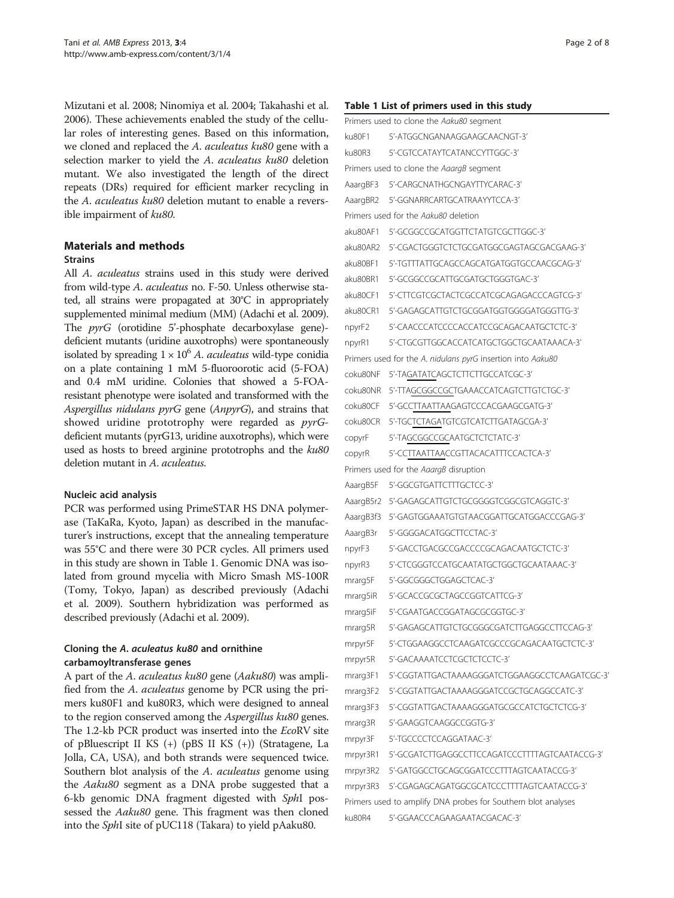Mizutani et al. [2008](#page-7-0); Ninomiya et al. [2004](#page-7-0); Takahashi et al. [2006\)](#page-7-0). These achievements enabled the study of the cellular roles of interesting genes. Based on this information, we cloned and replaced the A. aculeatus ku80 gene with a selection marker to yield the A. aculeatus ku80 deletion mutant. We also investigated the length of the direct repeats (DRs) required for efficient marker recycling in the A. aculeatus ku80 deletion mutant to enable a reversible impairment of ku80.

#### Materials and methods

#### **Strains**

All A. aculeatus strains used in this study were derived from wild-type A. aculeatus no. F-50. Unless otherwise stated, all strains were propagated at 30°C in appropriately supplemented minimal medium (MM) (Adachi et al. [2009](#page-7-0)). The pyrG (orotidine 5'-phosphate decarboxylase gene) deficient mutants (uridine auxotrophs) were spontaneously isolated by spreading  $1 \times 10^6$  *A. aculeatus* wild-type conidia on a plate containing 1 mM 5-fluoroorotic acid (5-FOA) and 0.4 mM uridine. Colonies that showed a 5-FOAresistant phenotype were isolated and transformed with the Aspergillus nidulans pyrG gene (AnpyrG), and strains that showed uridine prototrophy were regarded as pyrGdeficient mutants (pyrG13, uridine auxotrophs), which were used as hosts to breed arginine prototrophs and the ku80 deletion mutant in A. aculeatus.

#### Nucleic acid analysis

PCR was performed using PrimeSTAR HS DNA polymerase (TaKaRa, Kyoto, Japan) as described in the manufacturer's instructions, except that the annealing temperature was 55°C and there were 30 PCR cycles. All primers used in this study are shown in Table 1. Genomic DNA was isolated from ground mycelia with Micro Smash MS-100R (Tomy, Tokyo, Japan) as described previously (Adachi et al. [2009](#page-7-0)). Southern hybridization was performed as described previously (Adachi et al. [2009](#page-7-0)).

#### Cloning the A. aculeatus ku80 and ornithine carbamoyltransferase genes

A part of the A. aculeatus ku80 gene (Aaku80) was amplified from the A. aculeatus genome by PCR using the primers ku80F1 and ku80R3, which were designed to anneal to the region conserved among the *Aspergillus ku80* genes. The 1.2-kb PCR product was inserted into the EcoRV site of pBluescript II KS (+) (pBS II KS (+)) (Stratagene, La Jolla, CA, USA), and both strands were sequenced twice. Southern blot analysis of the A. aculeatus genome using the Aaku80 segment as a DNA probe suggested that a 6-kb genomic DNA fragment digested with SphI possessed the Aaku80 gene. This fragment was then cloned into the SphI site of pUC118 (Takara) to yield pAaku80.

#### Table 1 List of primers used in this study

|                    | Primers used to clone the Aaku80 segment                      |
|--------------------|---------------------------------------------------------------|
| ku80F1             | 5'-ATGGCNGANAAGGAAGCAACNGT-3'                                 |
| ku80R3             | 5'-CGTCCATAYTCATANCCYTTGGC-3'                                 |
|                    | Primers used to clone the AaargB segment                      |
| AaargBF3           | 5'-CARGCNATHGCNGAYTTYCARAC-3'                                 |
|                    | AaargBR2 5'-GGNARRCARTGCATRAAYYTCCA-3'                        |
|                    | Primers used for the Aaku80 deletion                          |
| aku80AF1           | 5'-GCGGCCGCATGGTTCTATGTCGCTTGGC-3'                            |
|                    | aku80AR2 5'-CGACTGGGTCTCTGCGATGGCGAGTAGCGACGAAG-3'            |
|                    | aku80BF1 5'-TGTTTATTGCAGCCAGCATGATGGTGCCAACGCAG-3'            |
|                    | aku80BR1 5'-GCGGCCGCATTGCGATGCTGGGTGAC-3'                     |
| aku80CF1           | 5'-CTTCGTCGCTACTCGCCATCGCAGAGACCCAGTCG-3'                     |
| aku80CR1           | 5'-GAGAGCATTGTCTGCGGATGGTGGGGATGGGTTG-3'                      |
| npyrF <sub>2</sub> | 5'-CAACCCATCCCCACCATCCGCAGACAATGCTCTC-3'                      |
| npyrR1             | 5'-CTGCGTTGGCACCATCATGCTGGCTGCAATAAACA-3'                     |
|                    | Primers used for the A. nidulans pyrG insertion into Aaku80   |
| coku80NF           | 5'-TAGATATCAGCTCTTCTTGCCATCGC-3'                              |
| coku80NR           | 5'-TTAGCGGCCGCTGAAACCATCAGTCTTGTCTGC-3'                       |
| coku80CF           | 5'-GCCTTAATTAAGAGTCCCACGAAGCGATG-3'                           |
| coku80CR           | 5'-TGCTCTAGATGTCGTCATCTTGATAGCGA-3'                           |
| copyrF             | 5'-TAGCGGCCGCAATGCTCTCTATC-3'                                 |
| copyrR             | 5'-CCTTAATTAACCGTTACACATTTCCACTCA-3'                          |
|                    | Primers used for the AaargB disruption                        |
| AaargB5F           | 5'-GGCGTGATTCTTTGCTCC-3'                                      |
|                    | AaargB5r2 5'-GAGAGCATTGTCTGCGGGGTCGGCGTCAGGTC-3'              |
|                    | AaargB3f3 5'-GAGTGGAAATGTGTAACGGATTGCATGGACCCGAG-3'           |
| AaargB3r           | 5'-GGGGACATGGCTTCCTAC-3'                                      |
| npyrF3             | 5'-GACCTGACGCCGACCCCGCAGACAATGCTCTC-3'                        |
| npyrR3             | 5'-CTCGGGTCCATGCAATATGCTGGCTGCAATAAAC-3'                      |
| mrarg5F            | 5'-GGCGGGCTGGAGCTCAC-3'                                       |
| mrarg5iR           | 5'-GCACCGCGCTAGCCGGTCATTCG-3'                                 |
| mrarg5iF           | 5'-CGAATGACCGGATAGCGCGGTGC-3'                                 |
| mrarg5R            | 5'-GAGAGCATTGTCTGCGGGCGATCTTGAGGCCTTCCAG-3'                   |
| mrpyr5F            | 5'-CTGGAAGGCCTCAAGATCGCCCGCAGACAATGCTCTC-3'                   |
| mrpyr5R            | 5'-GACAAAATCCTCGCTCTCCTC-3'                                   |
| mrarg3F1           | 5'-CGGTATTGACTAAAAGGGATCTGGAAGGCCTCAAGATCGC-3                 |
| mrarg3F2           | 5'-CGGTATTGACTAAAAGGGATCCGCTGCAGGCCATC-3'                     |
| mrarg3F3           | 5'-CGGTATTGACTAAAAGGGATGCGCCATCTGCTCTCG-3'                    |
| mrarg3R            | 5'-GAAGGTCAAGGCCGGTG-3'                                       |
| mrpyr3F            | 5'-TGCCCCTCCAGGATAAC-3'                                       |
| mrpyr3R1           | 5'-GCGATCTTGAGGCCTTCCAGATCCCTTTTAGTCAATACCG-3'                |
| mrpyr3R2           | 5'-GATGGCCTGCAGCGGATCCCTTTAGTCAATACCG-3'                      |
| mrpyr3R3           | 5'-CGAGAGCAGATGGCGCATCCCTTTTAGTCAATACCG-3'                    |
|                    | Primers used to amplify DNA probes for Southern blot analyses |
| ku80R4             | 5'-GGAACCCAGAAGAATACGACAC-3'                                  |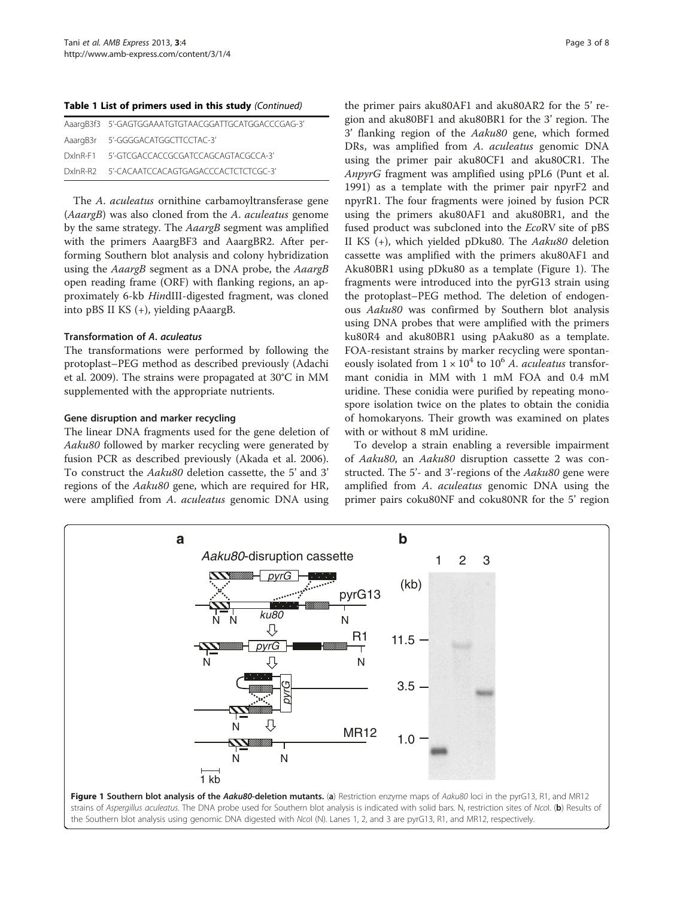<span id="page-2-0"></span>

| Table 1 List of primers used in this study (Continued) |  |  |  |  |
|--------------------------------------------------------|--|--|--|--|
|--------------------------------------------------------|--|--|--|--|

| AaargB3f3 5'-GAGTGGAAATGTGTAACGGATTGCATGGACCCGAG-3' |
|-----------------------------------------------------|
| AaargB3r 5'-GGGGACATGGCTTCCTAC-3'                   |
| DxInR-F1 5'-GTCGACCACCGCGATCCAGCAGTACGCCA-3'        |
| DxInR-R2 5'-CACAATCCACAGTGAGACCCACTCTCTCGC-3'       |

The A. aculeatus ornithine carbamoyltransferase gene (AaargB) was also cloned from the A. aculeatus genome by the same strategy. The AaargB segment was amplified with the primers AaargBF3 and AaargBR2. After performing Southern blot analysis and colony hybridization using the *AaargB* segment as a DNA probe, the *AaargB* open reading frame (ORF) with flanking regions, an approximately 6-kb HindIII-digested fragment, was cloned into pBS II KS (+), yielding pAaargB.

#### Transformation of A. aculeatus

The transformations were performed by following the protoplast–PEG method as described previously (Adachi et al. [2009](#page-7-0)). The strains were propagated at 30°C in MM supplemented with the appropriate nutrients.

#### Gene disruption and marker recycling

The linear DNA fragments used for the gene deletion of Aaku80 followed by marker recycling were generated by fusion PCR as described previously (Akada et al. [2006](#page-7-0)). To construct the Aaku80 deletion cassette, the 5' and 3' regions of the Aaku80 gene, which are required for HR, were amplified from A. aculeatus genomic DNA using

the primer pairs aku80AF1 and aku80AR2 for the 5' region and aku80BF1 and aku80BR1 for the 3' region. The 3' flanking region of the Aaku80 gene, which formed DRs, was amplified from A. aculeatus genomic DNA using the primer pair aku80CF1 and aku80CR1. The AnpyrG fragment was amplified using pPL6 (Punt et al. [1991](#page-7-0)) as a template with the primer pair npyrF2 and npyrR1. The four fragments were joined by fusion PCR using the primers aku80AF1 and aku80BR1, and the fused product was subcloned into the EcoRV site of pBS II KS (+), which yielded pDku80. The Aaku80 deletion cassette was amplified with the primers aku80AF1 and Aku80BR1 using pDku80 as a template (Figure 1). The fragments were introduced into the pyrG13 strain using the protoplast–PEG method. The deletion of endogenous Aaku80 was confirmed by Southern blot analysis using DNA probes that were amplified with the primers ku80R4 and aku80BR1 using pAaku80 as a template. FOA-resistant strains by marker recycling were spontaneously isolated from  $1 \times 10^4$  to 10<sup>6</sup> A. aculeatus transformant conidia in MM with 1 mM FOA and 0.4 mM uridine. These conidia were purified by repeating monospore isolation twice on the plates to obtain the conidia of homokaryons. Their growth was examined on plates with or without 8 mM uridine.

To develop a strain enabling a reversible impairment of Aaku80, an Aaku80 disruption cassette 2 was constructed. The 5'- and 3'-regions of the Aaku80 gene were amplified from A. aculeatus genomic DNA using the primer pairs coku80NF and coku80NR for the 5' region

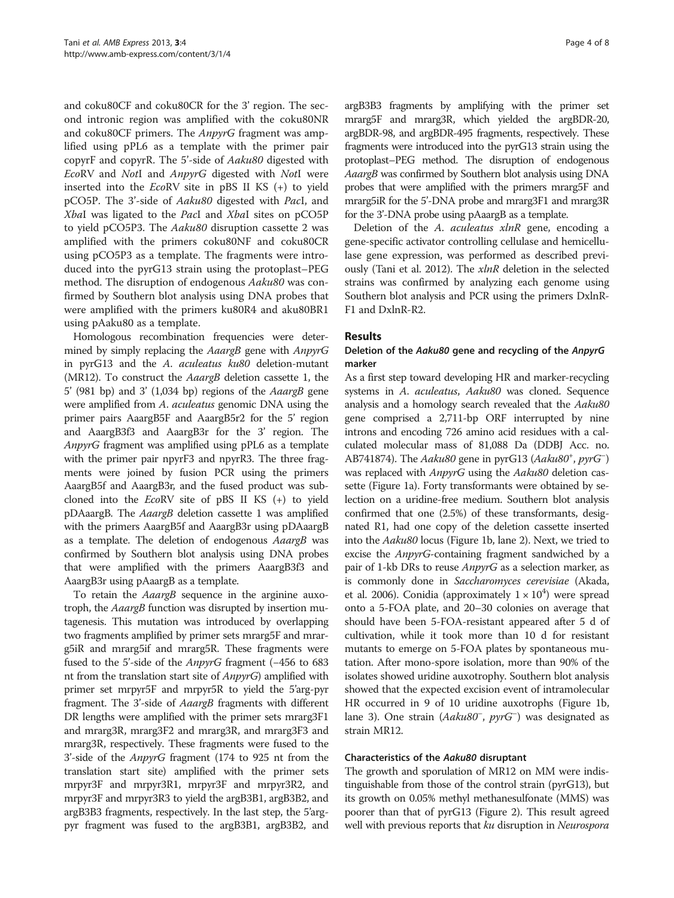and coku80CF and coku80CR for the 3' region. The second intronic region was amplified with the coku80NR and coku80CF primers. The AnpyrG fragment was amplified using pPL6 as a template with the primer pair copyrF and copyrR. The 5'-side of Aaku80 digested with EcoRV and NotI and AnpyrG digested with NotI were inserted into the  $EcoRV$  site in pBS II KS  $(+)$  to yield pCO5P. The 3'-side of Aaku80 digested with PacI, and XbaI was ligated to the PacI and XbaI sites on pCO5P to yield pCO5P3. The Aaku80 disruption cassette 2 was amplified with the primers coku80NF and coku80CR using pCO5P3 as a template. The fragments were introduced into the pyrG13 strain using the protoplast–PEG method. The disruption of endogenous Aaku80 was confirmed by Southern blot analysis using DNA probes that were amplified with the primers ku80R4 and aku80BR1 using pAaku80 as a template.

Homologous recombination frequencies were determined by simply replacing the AaargB gene with AnpyrG in pyrG13 and the A. aculeatus ku80 deletion-mutant (MR12). To construct the AaargB deletion cassette 1, the  $5'$  (981 bp) and  $3'$  (1,034 bp) regions of the *AaargB* gene were amplified from A. aculeatus genomic DNA using the primer pairs AaargB5F and AaargB5r2 for the 5' region and AaargB3f3 and AaargB3r for the 3' region. The AnpyrG fragment was amplified using pPL6 as a template with the primer pair npyrF3 and npyrR3. The three fragments were joined by fusion PCR using the primers AaargB5f and AaargB3r, and the fused product was subcloned into the EcoRV site of pBS II KS (+) to yield pDAaargB. The AaargB deletion cassette 1 was amplified with the primers AaargB5f and AaargB3r using pDAaargB as a template. The deletion of endogenous AaargB was confirmed by Southern blot analysis using DNA probes that were amplified with the primers AaargB3f3 and AaargB3r using pAaargB as a template.

To retain the *AaargB* sequence in the arginine auxotroph, the AaargB function was disrupted by insertion mutagenesis. This mutation was introduced by overlapping two fragments amplified by primer sets mrarg5F and mrarg5iR and mrarg5if and mrarg5R. These fragments were fused to the 5'-side of the AnpyrG fragment (−456 to 683 nt from the translation start site of *AnpyrG*) amplified with primer set mrpyr5F and mrpyr5R to yield the 5'arg-pyr fragment. The 3'-side of AaargB fragments with different DR lengths were amplified with the primer sets mrarg3F1 and mrarg3R, mrarg3F2 and mrarg3R, and mrarg3F3 and mrarg3R, respectively. These fragments were fused to the 3'-side of the AnpyrG fragment (174 to 925 nt from the translation start site) amplified with the primer sets mrpyr3F and mrpyr3R1, mrpyr3F and mrpyr3R2, and mrpyr3F and mrpyr3R3 to yield the argB3B1, argB3B2, and argB3B3 fragments, respectively. In the last step, the 5'argpyr fragment was fused to the argB3B1, argB3B2, and

argB3B3 fragments by amplifying with the primer set mrarg5F and mrarg3R, which yielded the argBDR-20, argBDR-98, and argBDR-495 fragments, respectively. These fragments were introduced into the pyrG13 strain using the protoplast–PEG method. The disruption of endogenous AaargB was confirmed by Southern blot analysis using DNA probes that were amplified with the primers mrarg5F and mrarg5iR for the 5'-DNA probe and mrarg3F1 and mrarg3R for the 3'-DNA probe using pAaargB as a template.

Deletion of the A. aculeatus xlnR gene, encoding a gene-specific activator controlling cellulase and hemicellulase gene expression, was performed as described previously (Tani et al. [2012](#page-7-0)). The xlnR deletion in the selected strains was confirmed by analyzing each genome using Southern blot analysis and PCR using the primers DxlnR-F1 and DxlnR-R2.

#### Results

#### Deletion of the Aaku80 gene and recycling of the AnpyrG marker

As a first step toward developing HR and marker-recycling systems in A. *aculeatus*, Aaku80 was cloned. Sequence analysis and a homology search revealed that the Aaku80 gene comprised a 2,711-bp ORF interrupted by nine introns and encoding 726 amino acid residues with a calculated molecular mass of 81,088 Da (DDBJ Acc. no. AB741874). The Aaku80 gene in pyrG13 (Aaku80<sup>+</sup>, pyrG<sup>-</sup>) was replaced with AnpyrG using the Aaku80 deletion cassette (Figure [1a](#page-2-0)). Forty transformants were obtained by selection on a uridine-free medium. Southern blot analysis confirmed that one (2.5%) of these transformants, designated R1, had one copy of the deletion cassette inserted into the Aaku80 locus (Figure [1](#page-2-0)b, lane 2). Next, we tried to excise the AnpyrG-containing fragment sandwiched by a pair of 1-kb DRs to reuse *AnpyrG* as a selection marker, as is commonly done in Saccharomyces cerevisiae (Akada, et al. [2006](#page-7-0)). Conidia (approximately  $1 \times 10^4$ ) were spread onto a 5-FOA plate, and 20–30 colonies on average that should have been 5-FOA-resistant appeared after 5 d of cultivation, while it took more than 10 d for resistant mutants to emerge on 5-FOA plates by spontaneous mutation. After mono-spore isolation, more than 90% of the isolates showed uridine auxotrophy. Southern blot analysis showed that the expected excision event of intramolecular HR occurred in 9 of 10 uridine auxotrophs (Figure [1](#page-2-0)b, lane 3). One strain (Aaku80<sup>-</sup>, pyrG<sup>-</sup>) was designated as strain MR12.

#### Characteristics of the Aaku80 disruptant

The growth and sporulation of MR12 on MM were indistinguishable from those of the control strain (pyrG13), but its growth on 0.05% methyl methanesulfonate (MMS) was poorer than that of pyrG13 (Figure [2\)](#page-4-0). This result agreed well with previous reports that ku disruption in Neurospora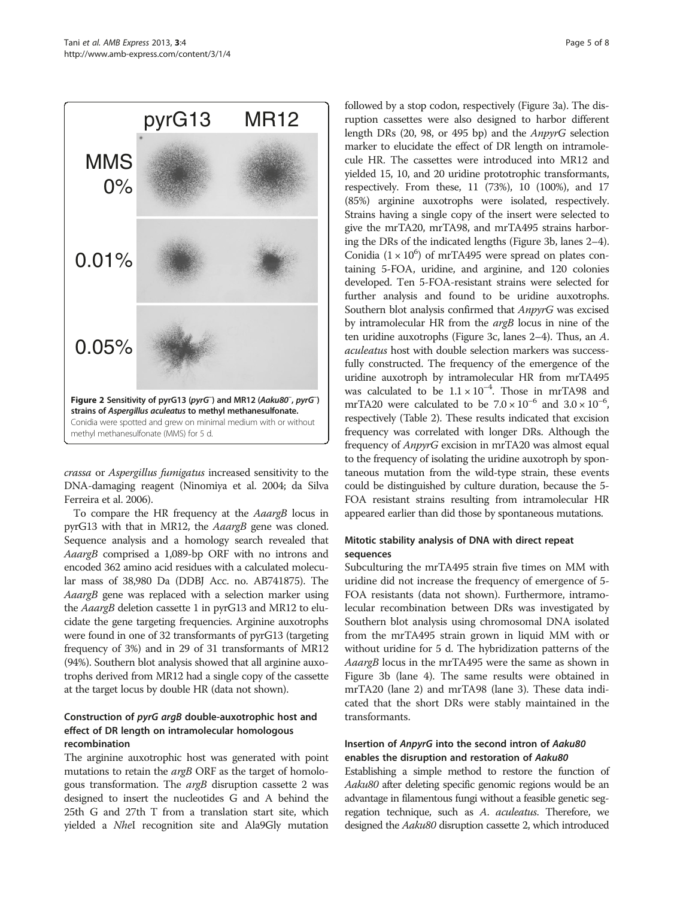<span id="page-4-0"></span>

crassa or Aspergillus fumigatus increased sensitivity to the DNA-damaging reagent (Ninomiya et al. [2004;](#page-7-0) da Silva Ferreira et al. [2006](#page-7-0)).

To compare the HR frequency at the *AaargB* locus in pyrG13 with that in MR12, the AaargB gene was cloned. Sequence analysis and a homology search revealed that AaargB comprised a 1,089-bp ORF with no introns and encoded 362 amino acid residues with a calculated molecular mass of 38,980 Da (DDBJ Acc. no. AB741875). The AaargB gene was replaced with a selection marker using the AaargB deletion cassette 1 in pyrG13 and MR12 to elucidate the gene targeting frequencies. Arginine auxotrophs were found in one of 32 transformants of pyrG13 (targeting frequency of 3%) and in 29 of 31 transformants of MR12 (94%). Southern blot analysis showed that all arginine auxotrophs derived from MR12 had a single copy of the cassette at the target locus by double HR (data not shown).

# Construction of pyrG argB double-auxotrophic host and effect of DR length on intramolecular homologous recombination

The arginine auxotrophic host was generated with point mutations to retain the *argB* ORF as the target of homologous transformation. The argB disruption cassette 2 was designed to insert the nucleotides G and A behind the 25th G and 27th T from a translation start site, which yielded a NheI recognition site and Ala9Gly mutation followed by a stop codon, respectively (Figure [3](#page-5-0)a). The disruption cassettes were also designed to harbor different length DRs (20, 98, or 495 bp) and the AnpyrG selection marker to elucidate the effect of DR length on intramolecule HR. The cassettes were introduced into MR12 and yielded 15, 10, and 20 uridine prototrophic transformants, respectively. From these, 11 (73%), 10 (100%), and 17 (85%) arginine auxotrophs were isolated, respectively. Strains having a single copy of the insert were selected to give the mrTA20, mrTA98, and mrTA495 strains harboring the DRs of the indicated lengths (Figure [3b](#page-5-0), lanes 2–4). Conidia  $(1 \times 10^6)$  of mrTA495 were spread on plates containing 5-FOA, uridine, and arginine, and 120 colonies developed. Ten 5-FOA-resistant strains were selected for further analysis and found to be uridine auxotrophs. Southern blot analysis confirmed that AnpyrG was excised by intramolecular HR from the argB locus in nine of the ten uridine auxotrophs (Figure [3](#page-5-0)c, lanes 2–4). Thus, an A. aculeatus host with double selection markers was successfully constructed. The frequency of the emergence of the uridine auxotroph by intramolecular HR from mrTA495 was calculated to be  $1.1 \times 10^{-4}$ . Those in mrTA98 and mrTA20 were calculated to be  $7.0 \times 10^{-6}$  and  $3.0 \times 10^{-6}$ , respectively (Table [2\)](#page-6-0). These results indicated that excision frequency was correlated with longer DRs. Although the frequency of AnpyrG excision in mrTA20 was almost equal to the frequency of isolating the uridine auxotroph by spontaneous mutation from the wild-type strain, these events could be distinguished by culture duration, because the 5- FOA resistant strains resulting from intramolecular HR appeared earlier than did those by spontaneous mutations.

## Mitotic stability analysis of DNA with direct repeat sequences

Subculturing the mrTA495 strain five times on MM with uridine did not increase the frequency of emergence of 5- FOA resistants (data not shown). Furthermore, intramolecular recombination between DRs was investigated by Southern blot analysis using chromosomal DNA isolated from the mrTA495 strain grown in liquid MM with or without uridine for 5 d. The hybridization patterns of the AaargB locus in the mrTA495 were the same as shown in Figure [3b](#page-5-0) (lane 4). The same results were obtained in mrTA20 (lane 2) and mrTA98 (lane 3). These data indicated that the short DRs were stably maintained in the transformants.

### Insertion of AnpyrG into the second intron of Aaku80 enables the disruption and restoration of Aaku80

Establishing a simple method to restore the function of Aaku80 after deleting specific genomic regions would be an advantage in filamentous fungi without a feasible genetic segregation technique, such as A. aculeatus. Therefore, we designed the Aaku80 disruption cassette 2, which introduced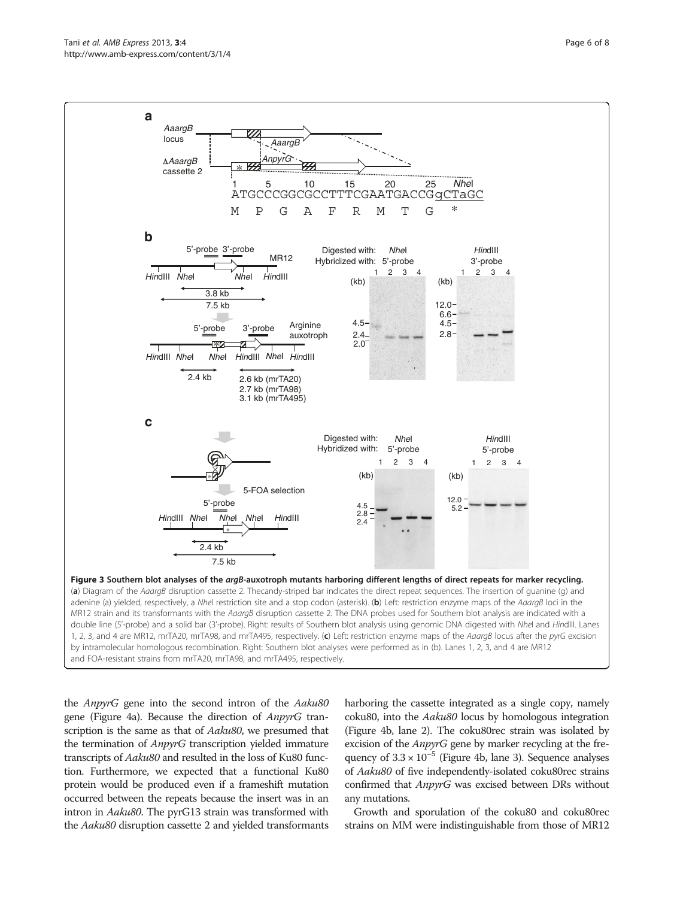<span id="page-5-0"></span>

the *AnpyrG* gene into the second intron of the *Aaku80* gene (Figure [4a](#page-6-0)). Because the direction of AnpyrG transcription is the same as that of Aaku80, we presumed that the termination of *AnpyrG* transcription yielded immature transcripts of Aaku80 and resulted in the loss of Ku80 function. Furthermore, we expected that a functional Ku80 protein would be produced even if a frameshift mutation occurred between the repeats because the insert was in an intron in Aaku80. The pyrG13 strain was transformed with the Aaku80 disruption cassette 2 and yielded transformants harboring the cassette integrated as a single copy, namely coku80, into the Aaku80 locus by homologous integration (Figure [4](#page-6-0)b, lane 2). The coku80rec strain was isolated by excision of the AnpyrG gene by marker recycling at the frequency of  $3.3 \times 10^{-5}$  (Figure [4b](#page-6-0), lane 3). Sequence analyses of Aaku80 of five independently-isolated coku80rec strains confirmed that AnpyrG was excised between DRs without any mutations.

Growth and sporulation of the coku80 and coku80rec strains on MM were indistinguishable from those of MR12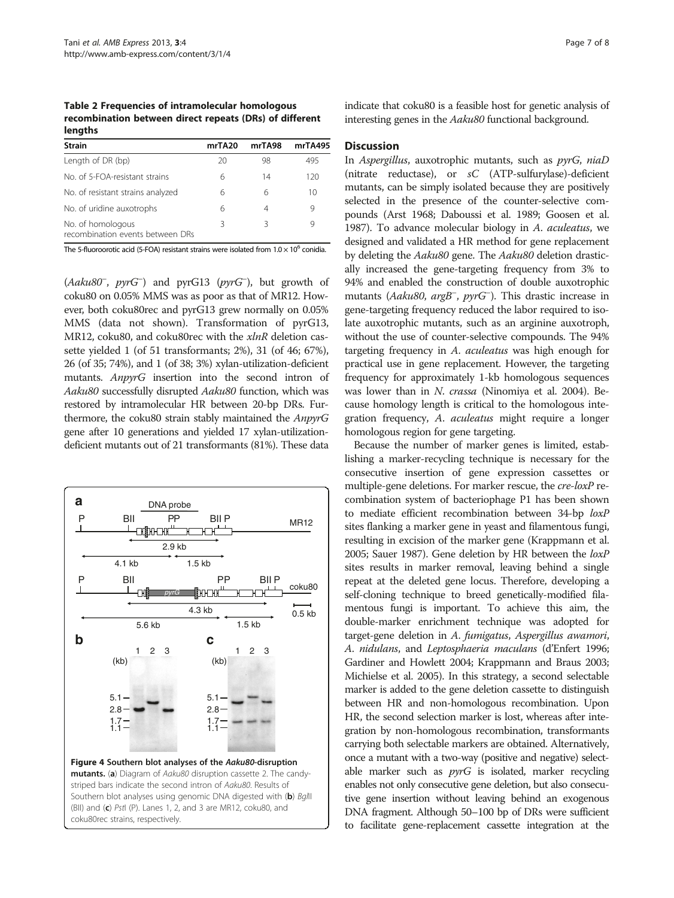<span id="page-6-0"></span>Table 2 Frequencies of intramolecular homologous recombination between direct repeats (DRs) of different lengths

| <b>Strain</b>                                         | mrTA <sub>20</sub> | mrTA98 | mrTA495 |
|-------------------------------------------------------|--------------------|--------|---------|
| Length of DR (bp)                                     | 20                 | 98     | 495     |
| No. of 5-FOA-resistant strains                        | 6                  | 14     | 120     |
| No. of resistant strains analyzed                     | 6                  | 6      | 10      |
| No. of uridine auxotrophs                             | 6                  | 4      | 9       |
| No. of homologous<br>recombination events between DRs | Β                  | ੨      | g       |
|                                                       |                    |        |         |

The 5-fluoroorotic acid (5-FOA) resistant strains were isolated from  $1.0 \times 10^6$  conidia.

(Aaku80<sup>-</sup>, pyrG<sup>-</sup>) and pyrG13 (pyrG<sup>-</sup>), but growth of coku80 on 0.05% MMS was as poor as that of MR12. However, both coku80rec and pyrG13 grew normally on 0.05% MMS (data not shown). Transformation of pyrG13, MR12, coku80, and coku80rec with the xlnR deletion cassette yielded 1 (of 51 transformants; 2%), 31 (of 46; 67%), 26 (of 35; 74%), and 1 (of 38; 3%) xylan-utilization-deficient mutants. AnpyrG insertion into the second intron of Aaku80 successfully disrupted Aaku80 function, which was restored by intramolecular HR between 20-bp DRs. Furthermore, the coku80 strain stably maintained the AnpyrG gene after 10 generations and yielded 17 xylan-utilizationdeficient mutants out of 21 transformants (81%). These data



indicate that coku80 is a feasible host for genetic analysis of interesting genes in the Aaku80 functional background.

#### **Discussion**

In Aspergillus, auxotrophic mutants, such as pyrG, niaD (nitrate reductase), or sC (ATP-sulfurylase)-deficient mutants, can be simply isolated because they are positively selected in the presence of the counter-selective compounds (Arst [1968;](#page-7-0) Daboussi et al. [1989](#page-7-0); Goosen et al. [1987\)](#page-7-0). To advance molecular biology in A. aculeatus, we designed and validated a HR method for gene replacement by deleting the Aaku80 gene. The Aaku80 deletion drastically increased the gene-targeting frequency from 3% to 94% and enabled the construction of double auxotrophic mutants (Aaku80, argB<sup>-</sup>, pyrG<sup>-</sup>). This drastic increase in gene-targeting frequency reduced the labor required to isolate auxotrophic mutants, such as an arginine auxotroph, without the use of counter-selective compounds. The 94% targeting frequency in A. aculeatus was high enough for practical use in gene replacement. However, the targeting frequency for approximately 1-kb homologous sequences was lower than in N. crassa (Ninomiya et al. [2004\)](#page-7-0). Because homology length is critical to the homologous integration frequency, A. aculeatus might require a longer homologous region for gene targeting.

Because the number of marker genes is limited, establishing a marker-recycling technique is necessary for the consecutive insertion of gene expression cassettes or multiple-gene deletions. For marker rescue, the cre-loxP recombination system of bacteriophage P1 has been shown to mediate efficient recombination between 34-bp loxP sites flanking a marker gene in yeast and filamentous fungi, resulting in excision of the marker gene (Krappmann et al. [2005;](#page-7-0) Sauer [1987](#page-7-0)). Gene deletion by HR between the loxP sites results in marker removal, leaving behind a single repeat at the deleted gene locus. Therefore, developing a self-cloning technique to breed genetically-modified filamentous fungi is important. To achieve this aim, the double-marker enrichment technique was adopted for target-gene deletion in A. fumigatus, Aspergillus awamori, A. nidulans, and Leptosphaeria maculans (d'Enfert [1996](#page-7-0); Gardiner and Howlett [2004;](#page-7-0) Krappmann and Braus [2003](#page-7-0); Michielse et al. [2005\)](#page-7-0). In this strategy, a second selectable marker is added to the gene deletion cassette to distinguish between HR and non-homologous recombination. Upon HR, the second selection marker is lost, whereas after integration by non-homologous recombination, transformants carrying both selectable markers are obtained. Alternatively, once a mutant with a two-way (positive and negative) selectable marker such as  $pyrG$  is isolated, marker recycling enables not only consecutive gene deletion, but also consecutive gene insertion without leaving behind an exogenous DNA fragment. Although 50–100 bp of DRs were sufficient to facilitate gene-replacement cassette integration at the